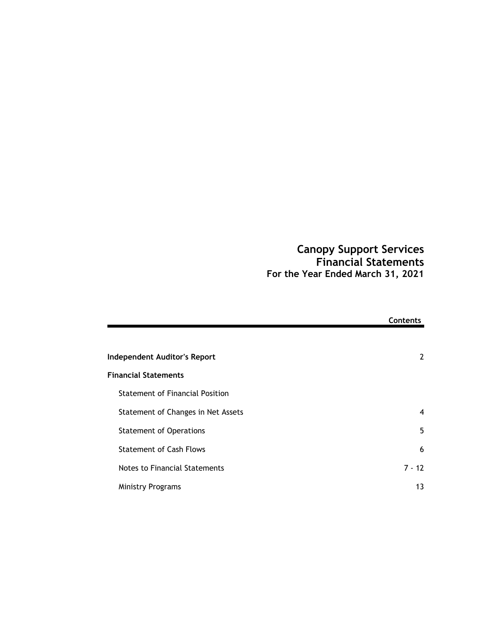### **Canopy Support Services Financial Statements For the Year Ended March 31, 2021**

|                                        | <b>Contents</b> |
|----------------------------------------|-----------------|
|                                        |                 |
| <b>Independent Auditor's Report</b>    | $\overline{2}$  |
| <b>Financial Statements</b>            |                 |
| <b>Statement of Financial Position</b> |                 |
| Statement of Changes in Net Assets     | 4               |
| <b>Statement of Operations</b>         | 5               |
| <b>Statement of Cash Flows</b>         | 6               |
| <b>Notes to Financial Statements</b>   | $7 - 12$        |
| <b>Ministry Programs</b>               | 13              |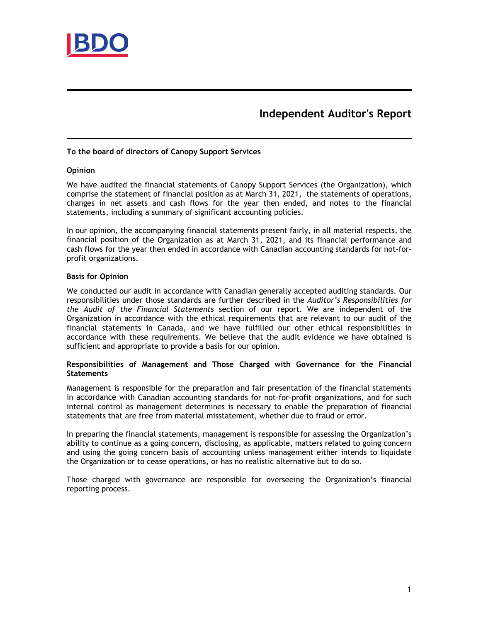

# **Independent Auditor's Report**

### **To the board of directors of Canopy Support Services**

### **Opinion**

We have audited the financial statements of Canopy Support Services (the Organization), which comprise the statement of financial position as at March 31, 2021, the statements of operations, changes in net assets and cash flows for the year then ended, and notes to the financial statements, including a summary of significant accounting policies.

In our opinion, the accompanying financial statements present fairly, in all material respects, the financial position of the Organization as at March 31, 2021, and its financial performance and cash flows for the year then ended in accordance with Canadian accounting standards for not-forprofit organizations.

### **Basis for Opinion**

We conducted our audit in accordance with Canadian generally accepted auditing standards. Our responsibilities under those standards are further described in the *Auditor's Responsibilities for the Audit of the Financial Statements* section of our report. We are independent of the Organization in accordance with the ethical requirements that are relevant to our audit of the financial statements in Canada, and we have fulfilled our other ethical responsibilities in accordance with these requirements. We believe that the audit evidence we have obtained is sufficient and appropriate to provide a basis for our opinion.

### **Responsibilities of Management and Those Charged with Governance for the Financial Statements**

Management is responsible for the preparation and fair presentation of the financial statements in accordance with Canadian accounting standards for not-for-profit organizations, and for such internal control as management determines is necessary to enable the preparation of financial statements that are free from material misstatement, whether due to fraud or error.

In preparing the financial statements, management is responsible for assessing the Organization's ability to continue as a going concern, disclosing, as applicable, matters related to going concern and using the going concern basis of accounting unless management either intends to liquidate the Organization or to cease operations, or has no realistic alternative but to do so.

Those charged with governance are responsible for overseeing the Organization's financial reporting process.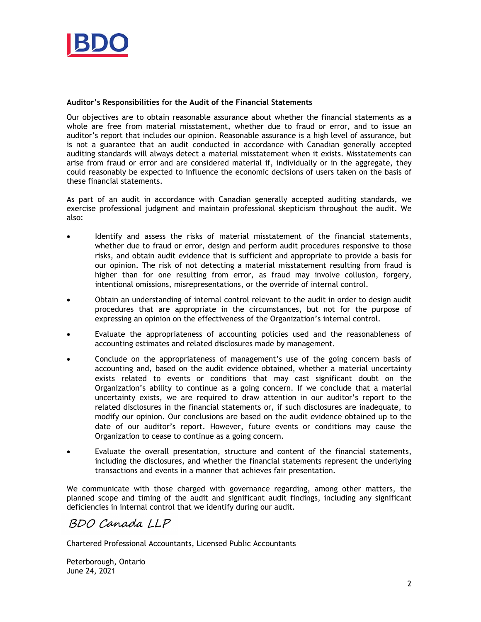

### **Auditor's Responsibilities for the Audit of the Financial Statements**

Our objectives are to obtain reasonable assurance about whether the financial statements as a whole are free from material misstatement, whether due to fraud or error, and to issue an auditor's report that includes our opinion. Reasonable assurance is a high level of assurance, but is not a guarantee that an audit conducted in accordance with Canadian generally accepted auditing standards will always detect a material misstatement when it exists. Misstatements can arise from fraud or error and are considered material if, individually or in the aggregate, they could reasonably be expected to influence the economic decisions of users taken on the basis of these financial statements.

As part of an audit in accordance with Canadian generally accepted auditing standards, we exercise professional judgment and maintain professional skepticism throughout the audit. We also:

- Identify and assess the risks of material misstatement of the financial statements, whether due to fraud or error, design and perform audit procedures responsive to those risks, and obtain audit evidence that is sufficient and appropriate to provide a basis for our opinion. The risk of not detecting a material misstatement resulting from fraud is higher than for one resulting from error, as fraud may involve collusion, forgery, intentional omissions, misrepresentations, or the override of internal control.
- Obtain an understanding of internal control relevant to the audit in order to design audit procedures that are appropriate in the circumstances, but not for the purpose of expressing an opinion on the effectiveness of the Organization's internal control.
- Evaluate the appropriateness of accounting policies used and the reasonableness of accounting estimates and related disclosures made by management.
- Conclude on the appropriateness of management's use of the going concern basis of accounting and, based on the audit evidence obtained, whether a material uncertainty exists related to events or conditions that may cast significant doubt on the Organization's ability to continue as a going concern. If we conclude that a material uncertainty exists, we are required to draw attention in our auditor's report to the related disclosures in the financial statements or, if such disclosures are inadequate, to modify our opinion. Our conclusions are based on the audit evidence obtained up to the date of our auditor's report. However, future events or conditions may cause the Organization to cease to continue as a going concern.
- Evaluate the overall presentation, structure and content of the financial statements, including the disclosures, and whether the financial statements represent the underlying transactions and events in a manner that achieves fair presentation.

We communicate with those charged with governance regarding, among other matters, the planned scope and timing of the audit and significant audit findings, including any significant deficiencies in internal control that we identify during our audit.

# BDO Canada LLP

Chartered Professional Accountants, Licensed Public Accountants

Peterborough, Ontario June 24, 2021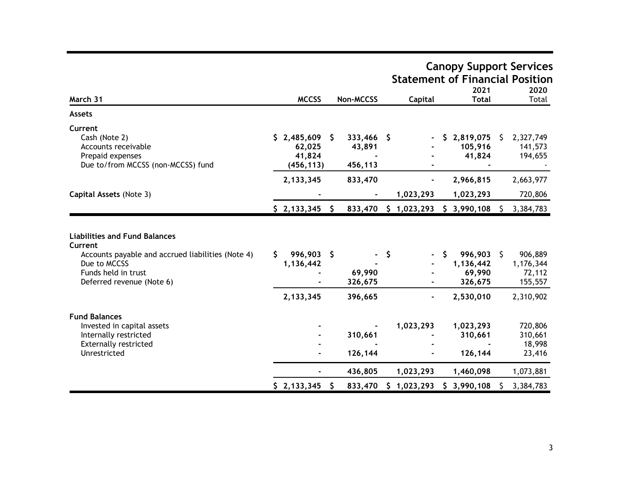|                                                                                                                                                                          |                                               |                                         |             | <b>Canopy Support Services</b><br><b>Statement of Financial Position</b> |                                           |
|--------------------------------------------------------------------------------------------------------------------------------------------------------------------------|-----------------------------------------------|-----------------------------------------|-------------|--------------------------------------------------------------------------|-------------------------------------------|
| March 31                                                                                                                                                                 | <b>MCCSS</b>                                  | <b>Non-MCCSS</b>                        | Capital     | 2021<br><b>Total</b>                                                     | 2020<br>Total                             |
| <b>Assets</b>                                                                                                                                                            |                                               |                                         |             |                                                                          |                                           |
| Current<br>Cash (Note 2)<br>Accounts receivable<br>Prepaid expenses<br>Due to/from MCCSS (non-MCCSS) fund                                                                | \$2,485,609<br>62,025<br>41,824<br>(456, 113) | S.<br>$333,466$ \$<br>43,891<br>456,113 |             | \$2,819,075<br>105,916<br>41,824                                         | 2,327,749<br>- S<br>141,573<br>194,655    |
|                                                                                                                                                                          | 2,133,345                                     | 833,470                                 |             | 2,966,815                                                                | 2,663,977                                 |
| Capital Assets (Note 3)                                                                                                                                                  |                                               |                                         | 1,023,293   | 1,023,293                                                                | 720,806                                   |
|                                                                                                                                                                          | \$2,133,345                                   | 833,470<br><sub>S</sub>                 | \$1,023,293 | \$3,990,108                                                              | 3,384,783<br>ς.                           |
| <b>Liabilities and Fund Balances</b><br>Current<br>Accounts payable and accrued liabilities (Note 4)<br>Due to MCCSS<br>Funds held in trust<br>Deferred revenue (Note 6) | Š.<br>$996,903$ \$<br>1,136,442               | 69,990<br>326,675                       | \$          | 996,903 \$<br>S.<br>1,136,442<br>69,990<br>326,675                       | 906,889<br>1,176,344<br>72,112<br>155,557 |
|                                                                                                                                                                          | 2,133,345                                     | 396,665                                 |             | 2,530,010                                                                | 2,310,902                                 |
| <b>Fund Balances</b><br>Invested in capital assets<br>Internally restricted<br><b>Externally restricted</b><br>Unrestricted                                              |                                               | 310,661<br>126,144                      | 1,023,293   | 1,023,293<br>310,661<br>126,144                                          | 720,806<br>310,661<br>18,998<br>23,416    |
|                                                                                                                                                                          |                                               | 436,805                                 | 1,023,293   | 1,460,098                                                                | 1,073,881                                 |
|                                                                                                                                                                          | \$2,133,345                                   | 833,470<br>S                            | \$1,023,293 | \$3,990,108                                                              | 3,384,783                                 |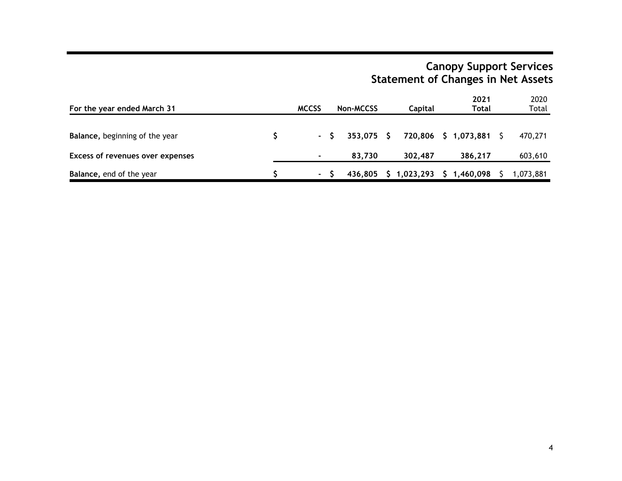# **Canopy Support Services Statement of Changes in Net Assets**

| For the year ended March 31             | <b>MCCSS</b> |     | Non-MCCSS  |    | <b>Capital</b> | 2021<br>Total        | 2020<br>Total |
|-----------------------------------------|--------------|-----|------------|----|----------------|----------------------|---------------|
| Balance, beginning of the year          |              | - S | 353,075 \$ |    |                | 720,806 \$ 1,073,881 | 470,271       |
| <b>Excess of revenues over expenses</b> |              |     | 83.730     |    | 302,487        | 386,217              | 603,610       |
| Balance, end of the year                | $\sim$       |     | 436,805    | S. | 1,023,293      | \$1,460,098          | 1,073,881     |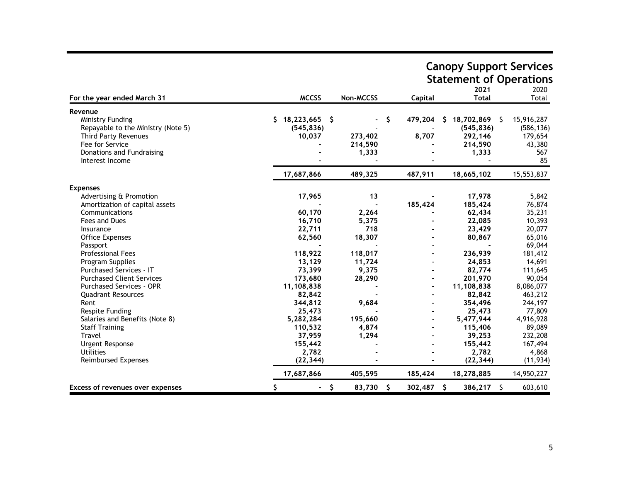|                                         |                            |                |                   |                      | <b>Statement of Operations</b> |
|-----------------------------------------|----------------------------|----------------|-------------------|----------------------|--------------------------------|
| For the year ended March 31             | <b>MCCSS</b>               | Non-MCCSS      | Capital           | 2021<br><b>Total</b> | 2020<br>Total                  |
| Revenue                                 |                            |                |                   |                      |                                |
| Ministry Funding                        | \$18,223,665               | $\blacksquare$ | \$<br>479,204     | 18,702,869 \$<br>S.  | 15,916,287                     |
| Repayable to the Ministry (Note 5)      | (545, 836)                 |                |                   | (545, 836)           | (586, 136)                     |
| <b>Third Party Revenues</b>             | 10,037                     | 273,402        | 8,707             | 292,146              | 179,654                        |
| Fee for Service                         |                            | 214,590        |                   | 214,590              | 43,380                         |
| Donations and Fundraising               |                            | 1,333          |                   | 1,333                | 567                            |
| Interest Income                         |                            |                |                   |                      | 85                             |
|                                         | 17,687,866                 | 489,325        | 487,911           | 18,665,102           | 15,553,837                     |
| <b>Expenses</b>                         |                            |                |                   |                      |                                |
| Advertising & Promotion                 | 17,965                     | 13             |                   | 17,978               | 5,842                          |
| Amortization of capital assets          |                            |                | 185,424           | 185,424              | 76,874                         |
| Communications                          | 60,170                     | 2,264          |                   | 62,434               | 35,231                         |
| Fees and Dues                           | 16,710                     | 5,375          |                   | 22,085               | 10,393                         |
| Insurance                               | 22,711                     | 718            |                   | 23,429               | 20,077                         |
| Office Expenses                         | 62,560                     | 18,307         |                   | 80,867               | 65,016                         |
| Passport                                |                            |                |                   |                      | 69,044                         |
| <b>Professional Fees</b>                | 118,922                    | 118,017        |                   | 236,939              | 181,412                        |
| Program Supplies                        | 13,129                     | 11,724         |                   | 24,853               | 14,691                         |
| Purchased Services - IT                 | 73,399                     | 9,375          |                   | 82,774               | 111,645                        |
| <b>Purchased Client Services</b>        | 173,680                    | 28,290         |                   | 201,970              | 90,054                         |
| Purchased Services - OPR                | 11,108,838                 |                |                   | 11,108,838           | 8,086,077                      |
| <b>Quadrant Resources</b>               | 82,842                     |                |                   | 82,842               | 463,212                        |
| Rent                                    | 344,812                    | 9,684          |                   | 354,496              | 244,197                        |
| <b>Respite Funding</b>                  | 25,473                     |                |                   | 25,473               | 77,809                         |
| Salaries and Benefits (Note 8)          | 5,282,284                  | 195,660        |                   | 5,477,944            | 4,916,928                      |
| <b>Staff Training</b>                   | 110,532                    | 4,874          |                   | 115,406              | 89,089                         |
| Travel                                  | 37,959                     | 1,294          |                   | 39,253               | 232,208                        |
| <b>Urgent Response</b>                  | 155,442                    |                |                   | 155,442              | 167,494                        |
| <b>Utilities</b>                        | 2,782                      |                |                   | 2,782                | 4,868                          |
| Reimbursed Expenses                     | (22, 344)                  |                |                   | (22, 344)            | (11, 934)                      |
|                                         | 17,687,866                 | 405,595        | 185,424           | 18,278,885           | 14,950,227                     |
| <b>Excess of revenues over expenses</b> | \$<br>\$<br>$\blacksquare$ | 83,730         | -\$<br>302,487 \$ | $386,217$ \$         | 603,610                        |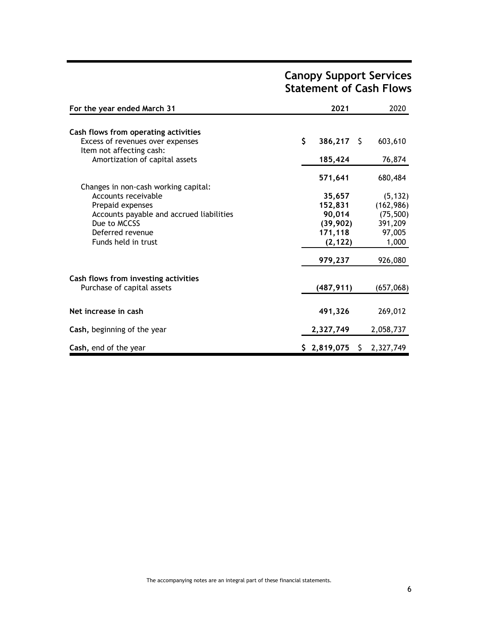# **Canopy Support Services Statement of Cash Flows**

| For the year ended March 31                                  | 2021               |    | 2020       |
|--------------------------------------------------------------|--------------------|----|------------|
| Cash flows from operating activities                         |                    |    |            |
| Excess of revenues over expenses<br>Item not affecting cash: | \$<br>$386,217$ \$ |    | 603,610    |
| Amortization of capital assets                               | 185,424            |    | 76,874     |
| Changes in non-cash working capital:                         | 571,641            |    | 680,484    |
| Accounts receivable                                          | 35,657             |    | (5, 132)   |
| Prepaid expenses                                             | 152,831            |    | (162, 986) |
| Accounts payable and accrued liabilities                     | 90,014             |    | (75, 500)  |
| Due to MCCSS                                                 | (39, 902)          |    | 391,209    |
| Deferred revenue                                             | 171,118            |    | 97,005     |
| Funds held in trust                                          | (2, 122)           |    | 1,000      |
|                                                              | 979,237            |    | 926,080    |
| Cash flows from investing activities                         |                    |    |            |
| Purchase of capital assets                                   | (487, 911)         |    | (657,068)  |
| Net increase in cash                                         | 491,326            |    | 269,012    |
| Cash, beginning of the year                                  | 2,327,749          |    | 2,058,737  |
| Cash, end of the year                                        | \$2,819,075        | S. | 2,327,749  |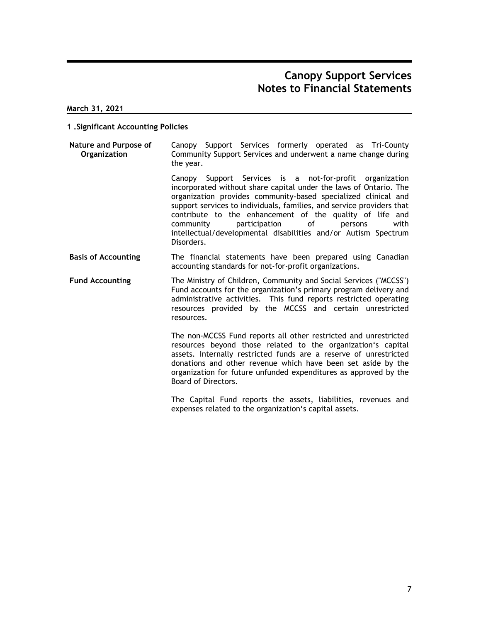**March 31, 2021**

#### **1 .Significant Accounting Policies**

**Nature and Purpose of Organization** Canopy Support Services formerly operated as Tri-County Community Support Services and underwent a name change during the year.

> Canopy Support Services is a not-for-profit organization incorporated without share capital under the laws of Ontario. The organization provides community-based specialized clinical and support services to individuals, families, and service providers that contribute to the enhancement of the quality of life and community participation of persons with intellectual/developmental disabilities and/or Autism Spectrum Disorders.

- **Basis of Accounting** The financial statements have been prepared using Canadian accounting standards for not-for-profit organizations.
- **Fund Accounting** The Ministry of Children, Community and Social Services ("MCCSS") Fund accounts for the organization's primary program delivery and administrative activities. This fund reports restricted operating resources provided by the MCCSS and certain unrestricted resources.

The non-MCCSS Fund reports all other restricted and unrestricted resources beyond those related to the organization's capital assets. Internally restricted funds are a reserve of unrestricted donations and other revenue which have been set aside by the organization for future unfunded expenditures as approved by the Board of Directors.

The Capital Fund reports the assets, liabilities, revenues and expenses related to the organization's capital assets.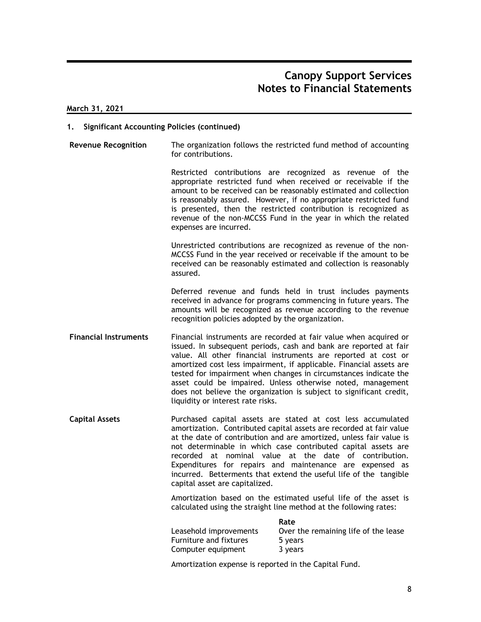**March 31, 2021**

### **1. Significant Accounting Policies (continued)**

| <b>Revenue Recognition</b>   | for contributions.                                                     | The organization follows the restricted fund method of accounting                                                                                                                                                                                                                                                                                                                                                                                                                         |  |  |  |
|------------------------------|------------------------------------------------------------------------|-------------------------------------------------------------------------------------------------------------------------------------------------------------------------------------------------------------------------------------------------------------------------------------------------------------------------------------------------------------------------------------------------------------------------------------------------------------------------------------------|--|--|--|
|                              | expenses are incurred.                                                 | Restricted contributions are recognized as revenue of the<br>appropriate restricted fund when received or receivable if the<br>amount to be received can be reasonably estimated and collection<br>is reasonably assured. However, if no appropriate restricted fund<br>is presented, then the restricted contribution is recognized as<br>revenue of the non-MCCSS Fund in the year in which the related                                                                                 |  |  |  |
|                              | assured.                                                               | Unrestricted contributions are recognized as revenue of the non-<br>MCCSS Fund in the year received or receivable if the amount to be<br>received can be reasonably estimated and collection is reasonably                                                                                                                                                                                                                                                                                |  |  |  |
|                              | recognition policies adopted by the organization.                      | Deferred revenue and funds held in trust includes payments<br>received in advance for programs commencing in future years. The<br>amounts will be recognized as revenue according to the revenue                                                                                                                                                                                                                                                                                          |  |  |  |
| <b>Financial Instruments</b> | liquidity or interest rate risks.                                      | Financial instruments are recorded at fair value when acquired or<br>issued. In subsequent periods, cash and bank are reported at fair<br>value. All other financial instruments are reported at cost or<br>amortized cost less impairment, if applicable. Financial assets are<br>tested for impairment when changes in circumstances indicate the<br>asset could be impaired. Unless otherwise noted, management<br>does not believe the organization is subject to significant credit, |  |  |  |
| <b>Capital Assets</b>        | capital asset are capitalized.                                         | Purchased capital assets are stated at cost less accumulated<br>amortization. Contributed capital assets are recorded at fair value<br>at the date of contribution and are amortized, unless fair value is<br>not determinable in which case contributed capital assets are<br>recorded at nominal value at the date of contribution.<br>Expenditures for repairs and maintenance are expensed as<br>incurred. Betterments that extend the useful life of the tangible                    |  |  |  |
|                              |                                                                        | Amortization based on the estimated useful life of the asset is<br>calculated using the straight line method at the following rates:                                                                                                                                                                                                                                                                                                                                                      |  |  |  |
|                              |                                                                        | Rate                                                                                                                                                                                                                                                                                                                                                                                                                                                                                      |  |  |  |
|                              | Leasehold improvements<br>Furniture and fixtures<br>Computer equipment | Over the remaining life of the lease<br>5 years<br>3 years                                                                                                                                                                                                                                                                                                                                                                                                                                |  |  |  |
|                              | Amortization expense is reported in the Capital Fund.                  |                                                                                                                                                                                                                                                                                                                                                                                                                                                                                           |  |  |  |

8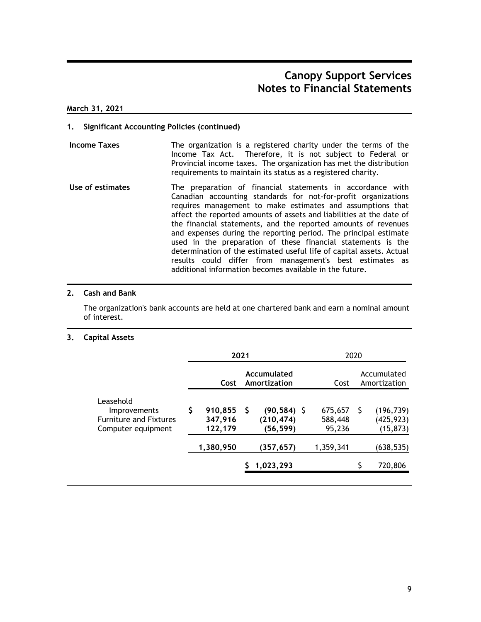**March 31, 2021**

#### **1. Significant Accounting Policies (continued)**

**Income Taxes** The organization is a registered charity under the terms of the Income Tax Act. Therefore, it is not subject to Federal or Provincial income taxes. The organization has met the distribution requirements to maintain its status as a registered charity.

**Use of estimates** The preparation of financial statements in accordance with Canadian accounting standards for not-for-profit organizations requires management to make estimates and assumptions that affect the reported amounts of assets and liabilities at the date of the financial statements, and the reported amounts of revenues and expenses during the reporting period. The principal estimate used in the preparation of these financial statements is the determination of the estimated useful life of capital assets. Actual results could differ from management's best estimates as additional information becomes available in the future.

### **2. Cash and Bank**

The organization's bank accounts are held at one chartered bank and earn a nominal amount of interest.

#### **3. Capital Assets**

|                                                                                  |   | 2021                          |                             |                                           | 2020                         |  |                                       |  |
|----------------------------------------------------------------------------------|---|-------------------------------|-----------------------------|-------------------------------------------|------------------------------|--|---------------------------------------|--|
|                                                                                  |   | Cost                          | Accumulated<br>Amortization |                                           |                              |  | Accumulated<br>Amortization           |  |
| Leasehold<br>Improvements<br><b>Furniture and Fixtures</b><br>Computer equipment | S | 910,855<br>347,916<br>122,179 | $\ddot{\varsigma}$          | $(90, 584)$ \$<br>(210, 474)<br>(56, 599) | 675,657<br>588,448<br>95,236 |  | (196, 739)<br>(425, 923)<br>(15, 873) |  |
|                                                                                  |   | 1,380,950                     |                             | (357, 657)                                | 1,359,341                    |  | (638, 535)                            |  |
|                                                                                  |   |                               |                             | 1,023,293                                 |                              |  | 720,806                               |  |
|                                                                                  |   |                               |                             |                                           |                              |  |                                       |  |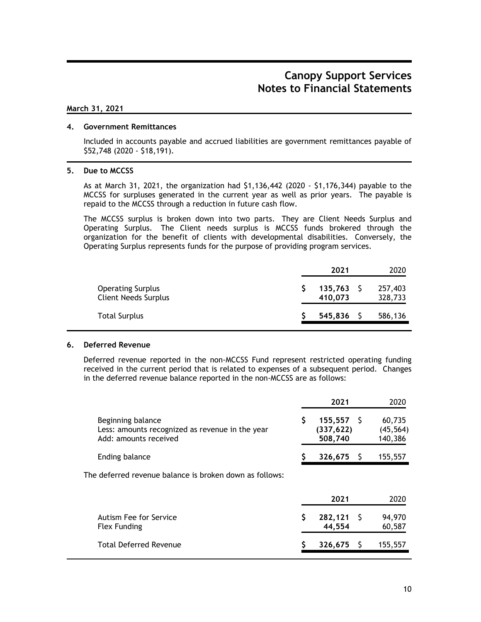### **March 31, 2021**

#### **4. Government Remittances**

Included in accounts payable and accrued liabilities are government remittances payable of \$52,748 (2020 - \$18,191).

### **5. Due to MCCSS**

As at March 31, 2021, the organization had \$1,136,442 (2020 - \$1,176,344) payable to the MCCSS for surpluses generated in the current year as well as prior years. The payable is repaid to the MCCSS through a reduction in future cash flow.

The MCCSS surplus is broken down into two parts. They are Client Needs Surplus and Operating Surplus. The Client needs surplus is MCCSS funds brokered through the organization for the benefit of clients with developmental disabilities. Conversely, the Operating Surplus represents funds for the purpose of providing program services.

|                                                         | 2021               | 2020               |
|---------------------------------------------------------|--------------------|--------------------|
| <b>Operating Surplus</b><br><b>Client Needs Surplus</b> | 135,763<br>410,073 | 257,403<br>328,733 |
| <b>Total Surplus</b>                                    | 545,836            | 586,136            |

### **6. Deferred Revenue**

Deferred revenue reported in the non-MCCSS Fund represent restricted operating funding received in the current period that is related to expenses of a subsequent period. Changes in the deferred revenue balance reported in the non-MCCSS are as follows:

|                                                                                               |    | 2021                             |     | 2020                           |
|-----------------------------------------------------------------------------------------------|----|----------------------------------|-----|--------------------------------|
| Beginning balance<br>Less: amounts recognized as revenue in the year<br>Add: amounts received | \$ | 155,557<br>(337, 622)<br>508,740 | - S | 60,735<br>(45, 564)<br>140,386 |
| Ending balance                                                                                |    | 326,675                          | - S | 155,557                        |
| The deferred revenue balance is broken down as follows:                                       |    |                                  |     |                                |
|                                                                                               |    | 2021                             |     | 2020                           |
| Autism Fee for Service<br><b>Flex Funding</b>                                                 | S  | 282,121<br>44,554                | - S | 94,970<br>60,587               |
| <b>Total Deferred Revenue</b>                                                                 |    | 326,675                          |     | 155,557                        |
|                                                                                               |    |                                  |     |                                |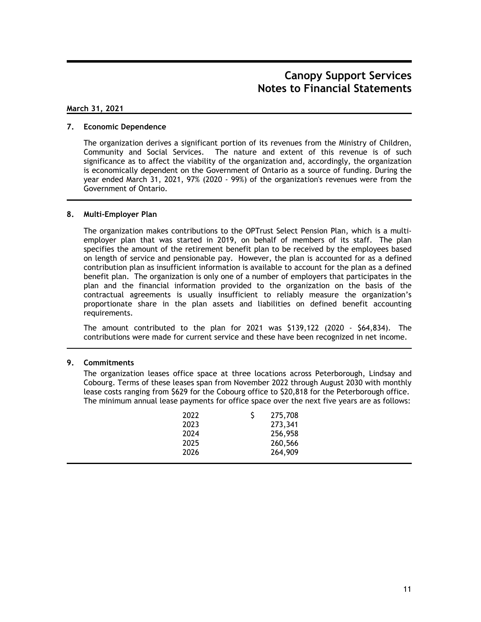### **March 31, 2021**

#### **7. Economic Dependence**

The organization derives a significant portion of its revenues from the Ministry of Children, Community and Social Services. The nature and extent of this revenue is of such significance as to affect the viability of the organization and, accordingly, the organization is economically dependent on the Government of Ontario as a source of funding. During the year ended March 31, 2021, 97% (2020 - 99%) of the organization's revenues were from the Government of Ontario.

#### **8. Multi-Employer Plan**

The organization makes contributions to the OPTrust Select Pension Plan, which is a multiemployer plan that was started in 2019, on behalf of members of its staff. The plan specifies the amount of the retirement benefit plan to be received by the employees based on length of service and pensionable pay. However, the plan is accounted for as a defined contribution plan as insufficient information is available to account for the plan as a defined benefit plan. The organization is only one of a number of employers that participates in the plan and the financial information provided to the organization on the basis of the contractual agreements is usually insufficient to reliably measure the organization's proportionate share in the plan assets and liabilities on defined benefit accounting requirements.

The amount contributed to the plan for 2021 was \$139,122 (2020 - \$64,834). The contributions were made for current service and these have been recognized in net income.

### **9. Commitments**

The organization leases office space at three locations across Peterborough, Lindsay and Cobourg. Terms of these leases span from November 2022 through August 2030 with monthly lease costs ranging from \$629 for the Cobourg office to \$20,818 for the Peterborough office. The minimum annual lease payments for office space over the next five years are as follows:

| 2022 | S | 275,708 |
|------|---|---------|
| 2023 |   | 273,341 |
| 2024 |   | 256,958 |
| 2025 |   | 260,566 |
| 2026 |   | 264,909 |
|      |   |         |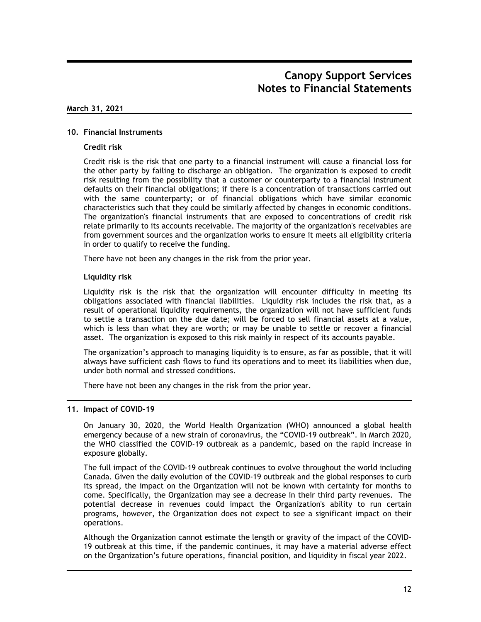### **March 31, 2021**

#### **10. Financial Instruments**

#### **Credit risk**

Credit risk is the risk that one party to a financial instrument will cause a financial loss for the other party by failing to discharge an obligation. The organization is exposed to credit risk resulting from the possibility that a customer or counterparty to a financial instrument defaults on their financial obligations; if there is a concentration of transactions carried out with the same counterparty; or of financial obligations which have similar economic characteristics such that they could be similarly affected by changes in economic conditions. The organization's financial instruments that are exposed to concentrations of credit risk relate primarily to its accounts receivable. The majority of the organization's receivables are from government sources and the organization works to ensure it meets all eligibility criteria in order to qualify to receive the funding.

There have not been any changes in the risk from the prior year.

#### **Liquidity risk**

Liquidity risk is the risk that the organization will encounter difficulty in meeting its obligations associated with financial liabilities. Liquidity risk includes the risk that, as a result of operational liquidity requirements, the organization will not have sufficient funds to settle a transaction on the due date; will be forced to sell financial assets at a value, which is less than what they are worth; or may be unable to settle or recover a financial asset. The organization is exposed to this risk mainly in respect of its accounts payable.

The organization's approach to managing liquidity is to ensure, as far as possible, that it will always have sufficient cash flows to fund its operations and to meet its liabilities when due, under both normal and stressed conditions.

There have not been any changes in the risk from the prior year.

#### **11. Impact of COVID-19**

On January 30, 2020, the World Health Organization (WHO) announced a global health emergency because of a new strain of coronavirus, the "COVID-19 outbreak". In March 2020, the WHO classified the COVID-19 outbreak as a pandemic, based on the rapid increase in exposure globally.

The full impact of the COVID-19 outbreak continues to evolve throughout the world including Canada. Given the daily evolution of the COVID-19 outbreak and the global responses to curb its spread, the impact on the Organization will not be known with certainty for months to come. Specifically, the Organization may see a decrease in their third party revenues. The potential decrease in revenues could impact the Organization's ability to run certain programs, however, the Organization does not expect to see a significant impact on their operations.

Although the Organization cannot estimate the length or gravity of the impact of the COVID-19 outbreak at this time, if the pandemic continues, it may have a material adverse effect on the Organization's future operations, financial position, and liquidity in fiscal year 2022.